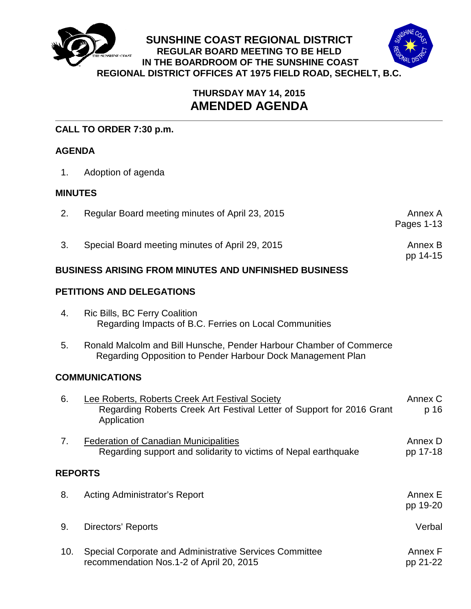

# **THURSDAY MAY 14, 2015 AMENDED AGENDA**

# **CALL TO ORDER 7:30 p.m.**

# **AGENDA**

1. Adoption of agenda

### **MINUTES**

| Regular Board meeting minutes of April 23, 2015 | Annex A    |
|-------------------------------------------------|------------|
|                                                 | Pages 1-13 |
|                                                 |            |

3. Special Board meeting minutes of April 29, 2015 **Annex B** Annex B

pp 14-15

**BUSINESS ARISING FROM MINUTES AND UNFINISHED BUSINESS**

## **PETITIONS AND DELEGATIONS**

- 4. Ric Bills, BC Ferry Coalition Regarding Impacts of B.C. Ferries on Local Communities
- 5. Ronald Malcolm and Bill Hunsche, Pender Harbour Chamber of Commerce Regarding Opposition to Pender Harbour Dock Management Plan

### **COMMUNICATIONS**

| 6.             | Lee Roberts, Roberts Creek Art Festival Society<br>Regarding Roberts Creek Art Festival Letter of Support for 2016 Grant<br>Application | Annex C<br>p 16     |
|----------------|-----------------------------------------------------------------------------------------------------------------------------------------|---------------------|
| 7.             | <b>Federation of Canadian Municipalities</b><br>Regarding support and solidarity to victims of Nepal earthquake                         | Annex D<br>pp 17-18 |
| <b>REPORTS</b> |                                                                                                                                         |                     |
| 8.             | Acting Administrator's Report                                                                                                           | Annex E<br>pp 19-20 |
| 9.             | Directors' Reports                                                                                                                      | Verbal              |
| 10.            | Special Corporate and Administrative Services Committee<br>recommendation Nos.1-2 of April 20, 2015                                     | Annex F<br>pp 21-22 |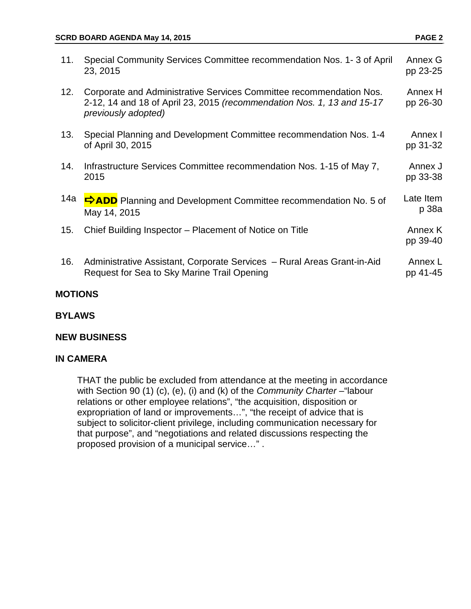| 11. | Special Community Services Committee recommendation Nos. 1-3 of April<br>23, 2015                                                                                    | Annex G<br>pp 23-25 |
|-----|----------------------------------------------------------------------------------------------------------------------------------------------------------------------|---------------------|
| 12. | Corporate and Administrative Services Committee recommendation Nos.<br>2-12, 14 and 18 of April 23, 2015 (recommendation Nos. 1, 13 and 15-17<br>previously adopted) | Annex H<br>pp 26-30 |
| 13. | Special Planning and Development Committee recommendation Nos. 1-4<br>of April 30, 2015                                                                              | Annex I<br>pp 31-32 |
| 14. | Infrastructure Services Committee recommendation Nos. 1-15 of May 7,<br>2015                                                                                         | Annex J<br>pp 33-38 |
| 14a | <b>DADD</b> Planning and Development Committee recommendation No. 5 of<br>May 14, 2015                                                                               | Late Item<br>p 38a  |
| 15. | Chief Building Inspector – Placement of Notice on Title                                                                                                              | Annex K<br>pp 39-40 |
| 16. | Administrative Assistant, Corporate Services - Rural Areas Grant-in-Aid<br>Request for Sea to Sky Marine Trail Opening                                               | Annex L<br>pp 41-45 |

#### **MOTIONS**

**BYLAWS**

#### **NEW BUSINESS**

#### **IN CAMERA**

THAT the public be excluded from attendance at the meeting in accordance with Section 90 (1) (c), (e), (i) and (k) of the *Community Charter* - "labour relations or other employee relations", "the acquisition, disposition or expropriation of land or improvements…", "the receipt of advice that is subject to solicitor-client privilege, including communication necessary for that purpose", and "negotiations and related discussions respecting the proposed provision of a municipal service…" .